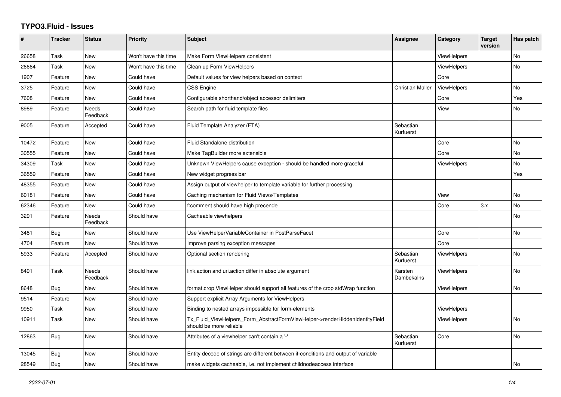## **TYPO3.Fluid - Issues**

| #     | <b>Tracker</b> | <b>Status</b>            | <b>Priority</b>      | <b>Subject</b>                                                                                         | Assignee               | Category           | <b>Target</b><br>version | Has patch      |
|-------|----------------|--------------------------|----------------------|--------------------------------------------------------------------------------------------------------|------------------------|--------------------|--------------------------|----------------|
| 26658 | Task           | <b>New</b>               | Won't have this time | Make Form ViewHelpers consistent                                                                       |                        | <b>ViewHelpers</b> |                          | No             |
| 26664 | Task           | New                      | Won't have this time | Clean up Form ViewHelpers                                                                              |                        | <b>ViewHelpers</b> |                          | <b>No</b>      |
| 1907  | Feature        | New                      | Could have           | Default values for view helpers based on context                                                       |                        | Core               |                          |                |
| 3725  | Feature        | <b>New</b>               | Could have           | <b>CSS Engine</b>                                                                                      | Christian Müller       | ViewHelpers        |                          | No             |
| 7608  | Feature        | New                      | Could have           | Configurable shorthand/object accessor delimiters                                                      |                        | Core               |                          | Yes            |
| 8989  | Feature        | Needs<br>Feedback        | Could have           | Search path for fluid template files                                                                   |                        | View               |                          | No             |
| 9005  | Feature        | Accepted                 | Could have           | Fluid Template Analyzer (FTA)                                                                          | Sebastian<br>Kurfuerst |                    |                          |                |
| 10472 | Feature        | <b>New</b>               | Could have           | Fluid Standalone distribution                                                                          |                        | Core               |                          | <b>No</b>      |
| 30555 | Feature        | New                      | Could have           | Make TagBuilder more extensible                                                                        |                        | Core               |                          | No             |
| 34309 | Task           | <b>New</b>               | Could have           | Unknown ViewHelpers cause exception - should be handled more graceful                                  |                        | <b>ViewHelpers</b> |                          | No             |
| 36559 | Feature        | <b>New</b>               | Could have           | New widget progress bar                                                                                |                        |                    |                          | Yes            |
| 48355 | Feature        | New                      | Could have           | Assign output of viewhelper to template variable for further processing.                               |                        |                    |                          |                |
| 60181 | Feature        | New                      | Could have           | Caching mechanism for Fluid Views/Templates                                                            |                        | View               |                          | <b>No</b>      |
| 62346 | Feature        | New                      | Could have           | f:comment should have high precende                                                                    |                        | Core               | 3.x                      | <b>No</b>      |
| 3291  | Feature        | Needs<br>Feedback        | Should have          | Cacheable viewhelpers                                                                                  |                        |                    |                          | No             |
| 3481  | Bug            | New                      | Should have          | Use ViewHelperVariableContainer in PostParseFacet                                                      |                        | Core               |                          | <b>No</b>      |
| 4704  | Feature        | <b>New</b>               | Should have          | Improve parsing exception messages                                                                     |                        | Core               |                          |                |
| 5933  | Feature        | Accepted                 | Should have          | Optional section rendering                                                                             | Sebastian<br>Kurfuerst | ViewHelpers        |                          | No             |
| 8491  | Task           | <b>Needs</b><br>Feedback | Should have          | link.action and uri.action differ in absolute argument                                                 | Karsten<br>Dambekalns  | <b>ViewHelpers</b> |                          | <b>No</b>      |
| 8648  | Bug            | New                      | Should have          | format.crop ViewHelper should support all features of the crop stdWrap function                        |                        | <b>ViewHelpers</b> |                          | <b>No</b>      |
| 9514  | Feature        | New                      | Should have          | Support explicit Array Arguments for ViewHelpers                                                       |                        |                    |                          |                |
| 9950  | Task           | <b>New</b>               | Should have          | Binding to nested arrays impossible for form-elements                                                  |                        | <b>ViewHelpers</b> |                          |                |
| 10911 | Task           | New                      | Should have          | Tx_Fluid_ViewHelpers_Form_AbstractFormViewHelper->renderHiddenIdentityField<br>should be more reliable |                        | ViewHelpers        |                          | N <sub>o</sub> |
| 12863 | Bug            | <b>New</b>               | Should have          | Attributes of a viewhelper can't contain a '-'                                                         | Sebastian<br>Kurfuerst | Core               |                          | No             |
| 13045 | Bug            | New                      | Should have          | Entity decode of strings are different between if-conditions and output of variable                    |                        |                    |                          |                |
| 28549 | Bug            | New                      | Should have          | make widgets cacheable, i.e. not implement childnodeaccess interface                                   |                        |                    |                          | <b>No</b>      |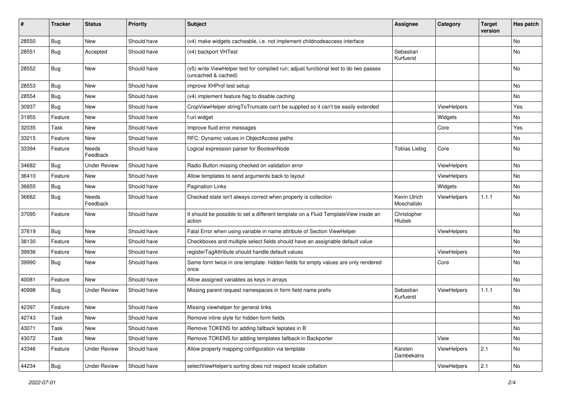| #     | <b>Tracker</b> | <b>Status</b>            | <b>Priority</b> | <b>Subject</b>                                                                                              | <b>Assignee</b>             | Category    | <b>Target</b><br>version | Has patch     |
|-------|----------------|--------------------------|-----------------|-------------------------------------------------------------------------------------------------------------|-----------------------------|-------------|--------------------------|---------------|
| 28550 | Bug            | <b>New</b>               | Should have     | (v4) make widgets cacheable, i.e. not implement childnodeaccess interface                                   |                             |             |                          | No            |
| 28551 | Bug            | Accepted                 | Should have     | (v4) backport VHTest                                                                                        | Sebastian<br>Kurfuerst      |             |                          | No            |
| 28552 | Bug            | <b>New</b>               | Should have     | (v5) write ViewHelper test for compiled run; adjust functional test to do two passes<br>(uncached & cached) |                             |             |                          | <b>No</b>     |
| 28553 | Bug            | <b>New</b>               | Should have     | improve XHProf test setup                                                                                   |                             |             |                          | <b>No</b>     |
| 28554 | Bug            | New                      | Should have     | (v4) implement feature flag to disable caching                                                              |                             |             |                          | No            |
| 30937 | Bug            | New                      | Should have     | CropViewHelper stringToTruncate can't be supplied so it can't be easily extended                            |                             | ViewHelpers |                          | Yes           |
| 31955 | Feature        | New                      | Should have     | f:uri.widget                                                                                                |                             | Widgets     |                          | No            |
| 32035 | Task           | New                      | Should have     | Improve fluid error messages                                                                                |                             | Core        |                          | Yes           |
| 33215 | Feature        | New                      | Should have     | RFC: Dynamic values in ObjectAccess paths                                                                   |                             |             |                          | No            |
| 33394 | Feature        | <b>Needs</b><br>Feedback | Should have     | Logical expression parser for BooleanNode                                                                   | <b>Tobias Liebig</b>        | Core        |                          | No            |
| 34682 | Bug            | <b>Under Review</b>      | Should have     | Radio Button missing checked on validation error                                                            |                             | ViewHelpers |                          | <b>No</b>     |
| 36410 | Feature        | New                      | Should have     | Allow templates to send arguments back to layout                                                            |                             | ViewHelpers |                          | No            |
| 36655 | Bug            | New                      | Should have     | <b>Pagination Links</b>                                                                                     |                             | Widgets     |                          | No            |
| 36662 | <b>Bug</b>     | Needs<br>Feedback        | Should have     | Checked state isn't always correct when property is collection                                              | Kevin Ulrich<br>Moschallski | ViewHelpers | 1.1.1                    | No            |
| 37095 | Feature        | New                      | Should have     | It should be possible to set a different template on a Fluid TemplateView inside an<br>action               | Christopher<br>Hlubek       |             |                          | No            |
| 37619 | Bug            | New                      | Should have     | Fatal Error when using variable in name attribute of Section ViewHelper                                     |                             | ViewHelpers |                          | No            |
| 38130 | Feature        | New                      | Should have     | Checkboxes and multiple select fields should have an assignable default value                               |                             |             |                          | <b>No</b>     |
| 39936 | Feature        | New                      | Should have     | registerTagAttribute should handle default values                                                           |                             | ViewHelpers |                          | No            |
| 39990 | Bug            | New                      | Should have     | Same form twice in one template: hidden fields for empty values are only rendered<br>once                   |                             | Core        |                          | <b>No</b>     |
| 40081 | Feature        | New                      | Should have     | Allow assigned variables as keys in arrays                                                                  |                             |             |                          | <b>No</b>     |
| 40998 | Bug            | <b>Under Review</b>      | Should have     | Missing parent request namespaces in form field name prefix                                                 | Sebastian<br>Kurfuerst      | ViewHelpers | 1.1.1                    | No            |
| 42397 | Feature        | New                      | Should have     | Missing viewhelper for general links                                                                        |                             |             |                          | No            |
| 42743 | Task           | New                      | Should have     | Remove inline style for hidden form fields                                                                  |                             |             |                          | $\mathsf{No}$ |
| 43071 | Task           | New                      | Should have     | Remove TOKENS for adding fallback teplates in B                                                             |                             |             |                          | No            |
| 43072 | Task           | New                      | Should have     | Remove TOKENS for adding templates fallback in Backporter                                                   |                             | View        |                          | No            |
| 43346 | Feature        | <b>Under Review</b>      | Should have     | Allow property mapping configuration via template                                                           | Karsten<br>Dambekalns       | ViewHelpers | 2.1                      | No            |
| 44234 | <b>Bug</b>     | <b>Under Review</b>      | Should have     | selectViewHelper's sorting does not respect locale collation                                                |                             | ViewHelpers | 2.1                      | $\mathsf{No}$ |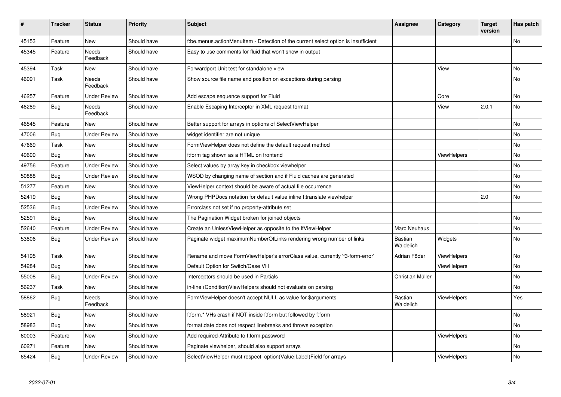| #     | <b>Tracker</b> | <b>Status</b>            | <b>Priority</b> | <b>Subject</b>                                                                     | <b>Assignee</b>      | Category           | <b>Target</b><br>version | Has patch |
|-------|----------------|--------------------------|-----------------|------------------------------------------------------------------------------------|----------------------|--------------------|--------------------------|-----------|
| 45153 | Feature        | New                      | Should have     | f:be.menus.actionMenuItem - Detection of the current select option is insufficient |                      |                    |                          | <b>No</b> |
| 45345 | Feature        | Needs<br>Feedback        | Should have     | Easy to use comments for fluid that won't show in output                           |                      |                    |                          |           |
| 45394 | Task           | New                      | Should have     | Forwardport Unit test for standalone view                                          |                      | View               |                          | <b>No</b> |
| 46091 | Task           | Needs<br>Feedback        | Should have     | Show source file name and position on exceptions during parsing                    |                      |                    |                          | No        |
| 46257 | Feature        | <b>Under Review</b>      | Should have     | Add escape sequence support for Fluid                                              |                      | Core               |                          | <b>No</b> |
| 46289 | Bug            | Needs<br>Feedback        | Should have     | Enable Escaping Interceptor in XML request format                                  |                      | View               | 2.0.1                    | <b>No</b> |
| 46545 | Feature        | New                      | Should have     | Better support for arrays in options of SelectViewHelper                           |                      |                    |                          | <b>No</b> |
| 47006 | Bug            | <b>Under Review</b>      | Should have     | widget identifier are not unique                                                   |                      |                    |                          | No        |
| 47669 | Task           | New                      | Should have     | FormViewHelper does not define the default request method                          |                      |                    |                          | No        |
| 49600 | Bug            | <b>New</b>               | Should have     | f:form tag shown as a HTML on frontend                                             |                      | ViewHelpers        |                          | <b>No</b> |
| 49756 | Feature        | <b>Under Review</b>      | Should have     | Select values by array key in checkbox viewhelper                                  |                      |                    |                          | No        |
| 50888 | <b>Bug</b>     | Under Review             | Should have     | WSOD by changing name of section and if Fluid caches are generated                 |                      |                    |                          | No        |
| 51277 | Feature        | New                      | Should have     | ViewHelper context should be aware of actual file occurrence                       |                      |                    |                          | No        |
| 52419 | <b>Bug</b>     | <b>New</b>               | Should have     | Wrong PHPDocs notation for default value inline f:translate viewhelper             |                      |                    | 2.0                      | <b>No</b> |
| 52536 | <b>Bug</b>     | Under Review             | Should have     | Errorclass not set if no property-attribute set                                    |                      |                    |                          |           |
| 52591 | <b>Bug</b>     | <b>New</b>               | Should have     | The Pagination Widget broken for joined objects                                    |                      |                    |                          | No        |
| 52640 | Feature        | <b>Under Review</b>      | Should have     | Create an UnlessViewHelper as opposite to the IfViewHelper                         | Marc Neuhaus         |                    |                          | <b>No</b> |
| 53806 | Bug            | <b>Under Review</b>      | Should have     | Paginate widget maximumNumberOfLinks rendering wrong number of links               | Bastian<br>Waidelich | Widgets            |                          | No        |
| 54195 | Task           | New                      | Should have     | Rename and move FormViewHelper's errorClass value, currently 'f3-form-error'       | Adrian Föder         | ViewHelpers        |                          | No        |
| 54284 | Bug            | New                      | Should have     | Default Option for Switch/Case VH                                                  |                      | ViewHelpers        |                          | <b>No</b> |
| 55008 | Bug            | Under Review             | Should have     | Interceptors should be used in Partials                                            | Christian Müller     |                    |                          | <b>No</b> |
| 56237 | Task           | New                      | Should have     | in-line (Condition) View Helpers should not evaluate on parsing                    |                      |                    |                          | No        |
| 58862 | <b>Bug</b>     | <b>Needs</b><br>Feedback | Should have     | FormViewHelper doesn't accept NULL as value for \$arguments                        | Bastian<br>Waidelich | <b>ViewHelpers</b> |                          | Yes       |
| 58921 | Bug            | New                      | Should have     | f:form.* VHs crash if NOT inside f:form but followed by f:form                     |                      |                    |                          | No        |
| 58983 | Bug            | New                      | Should have     | format.date does not respect linebreaks and throws exception                       |                      |                    |                          | No        |
| 60003 | Feature        | New                      | Should have     | Add required-Attribute to f:form.password                                          |                      | ViewHelpers        |                          | No        |
| 60271 | Feature        | <b>New</b>               | Should have     | Paginate viewhelper, should also support arrays                                    |                      |                    |                          | No        |
| 65424 | <b>Bug</b>     | <b>Under Review</b>      | Should have     | SelectViewHelper must respect option(Value Label)Field for arrays                  |                      | ViewHelpers        |                          | No        |